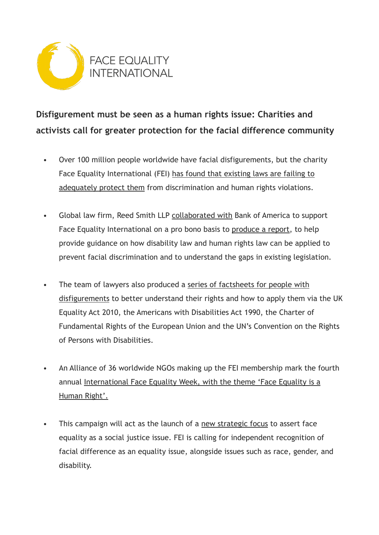

# **Disfigurement must be seen as a human rights issue: Charities and activists call for greater protection for the facial difference community**

- Over 100 million people worldwide have facial disfigurements, but the charity Face Equality International (FEI) [has found that existing laws are failing to](http://faceequalityinternational.org/wp-content/uploads/2022/05/Face-Equality-is-a-Human-Right-Report.pdf)  [adequately protect them](http://faceequalityinternational.org/wp-content/uploads/2022/05/Face-Equality-is-a-Human-Right-Report.pdf) from discrimination and human rights violations.
- Global law firm, Reed Smith LLP [collaborated with](https://www.reedsmith.com/en/news/2021/12/face-equality-international-enlists-reed-smith-and-employees) Bank of America to support Face Equality International on a pro bono basis to [produce a report](https://faceequalityinternational.org/wp-content/uploads/2022/05/Face-Equality-International-Report-on-Interpreting-disability-Legislation-to-assist-people-with-Facial-Disfigurements-.pdf), to help provide guidance on how disability law and human rights law can be applied to prevent facial discrimination and to understand the gaps in existing legislation.
- The team of lawyers also produced a [series of factsheets for people with](https://faceequalityinternational.org/resources/)  [disfigurements](https://faceequalityinternational.org/resources/) to better understand their rights and how to apply them via the UK Equality Act 2010, the Americans with Disabilities Act 1990, the Charter of Fundamental Rights of the European Union and the UN's Convention on the Rights of Persons with Disabilities.
- An Alliance of 36 worldwide NGOs making up the FEI membership mark the fourth annual [International Face Equality Week, with the theme 'Face Equality is a](https://faceequalityinternational.org/about-fei/international-face-equality-week-2022/)  [Human Right'.](https://faceequalityinternational.org/about-fei/international-face-equality-week-2022/)
- This campaign will act as the launch of a [new strategic focus](https://faceequalityinternational.org/our-mission/) to assert face equality as a social justice issue. FEI is calling for independent recognition of facial difference as an equality issue, alongside issues such as race, gender, and disability.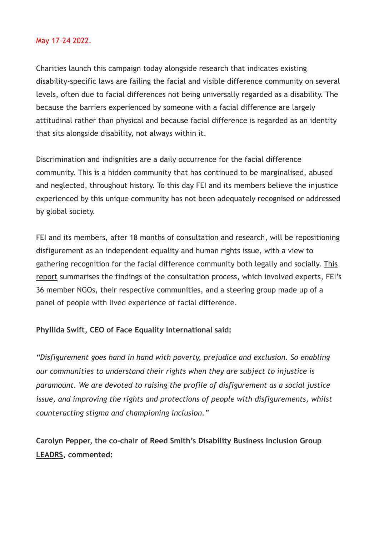#### May 17-24 2022.

Charities launch this campaign today alongside research that indicates existing disability-specific laws are failing the facial and visible difference community on several levels, often due to facial differences not being universally regarded as a disability. The because the barriers experienced by someone with a facial difference are largely attitudinal rather than physical and because facial difference is regarded as an identity that sits alongside disability, not always within it.

Discrimination and indignities are a daily occurrence for the facial difference community. This is a hidden community that has continued to be marginalised, abused and neglected, throughout history. To this day FEI and its members believe the injustice experienced by this unique community has not been adequately recognised or addressed by global society.

FEI and its members, after 18 months of consultation and research, will be repositioning disfigurement as an independent equality and human rights issue, with a view to gathering recognition for the facial difference community both legally and socially. [This](http://faceequalityinternational.org/wp-content/uploads/2022/05/Face-Equality-is-a-Human-Right-Report.pdf)  [report](http://faceequalityinternational.org/wp-content/uploads/2022/05/Face-Equality-is-a-Human-Right-Report.pdf) summarises the findings of the consultation process, which involved experts, FEI's 36 member NGOs, their respective communities, and a steering group made up of a panel of people with lived experience of facial difference.

#### **Phyllida Swift, CEO of Face Equality International said:**

*"Disfigurement goes hand in hand with poverty, prejudice and exclusion. So enabling our communities to understand their rights when they are subject to injustice is paramount. We are devoted to raising the profile of disfigurement as a social justice issue, and improving the rights and protections of people with disfigurements, whilst counteracting stigma and championing inclusion."*

**Carolyn Pepper, the co-chair of Reed Smith's Disability Business Inclusion Group [LEADRS,](https://www.reedsmith.com/en/diversity) commented:**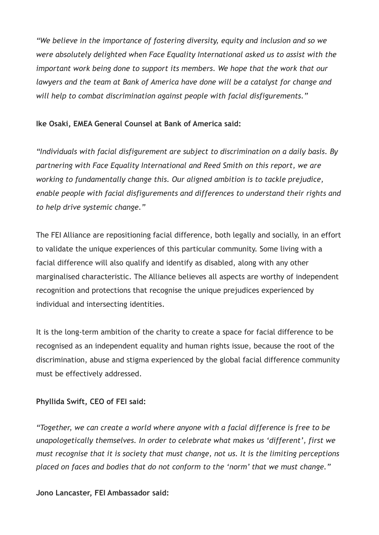*"We believe in the importance of fostering diversity, equity and inclusion and so we were absolutely delighted when Face Equality International asked us to assist with the important work being done to support its members. We hope that the work that our lawyers and the team at Bank of America have done will be a catalyst for change and will help to combat discrimination against people with facial disfigurements."*

#### **Ike Osaki, EMEA General Counsel at Bank of America said:**

*"Individuals with facial disfigurement are subject to discrimination on a daily basis. By partnering with Face Equality International and Reed Smith on this report, we are working to fundamentally change this. Our aligned ambition is to tackle prejudice, enable people with facial disfigurements and differences to understand their rights and to help drive systemic change."*

The FEI Alliance are repositioning facial difference, both legally and socially, in an effort to validate the unique experiences of this particular community. Some living with a facial difference will also qualify and identify as disabled, along with any other marginalised characteristic. The Alliance believes all aspects are worthy of independent recognition and protections that recognise the unique prejudices experienced by individual and intersecting identities.

It is the long-term ambition of the charity to create a space for facial difference to be recognised as an independent equality and human rights issue, because the root of the discrimination, abuse and stigma experienced by the global facial difference community must be effectively addressed.

## **Phyllida Swift, CEO of FEI said:**

*"Together, we can create a world where anyone with a facial difference is free to be unapologetically themselves. In order to celebrate what makes us 'different', first we must recognise that it is society that must change, not us. It is the limiting perceptions placed on faces and bodies that do not conform to the 'norm' that we must change."*

#### **Jono Lancaster, FEI Ambassador said:**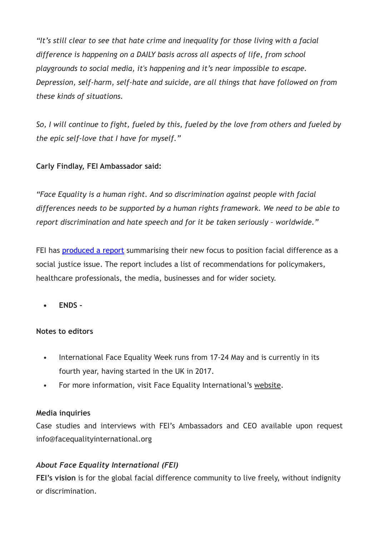*"It's still clear to see that hate crime and inequality for those living with a facial difference is happening on a DAILY basis across all aspects of life, from school playgrounds to social media, it's happening and it's near impossible to escape. Depression, self-harm, self-hate and suicide, are all things that have followed on from these kinds of situations.*

*So, I will continue to fight, fueled by this, fueled by the love from others and fueled by the epic self-love that I have for myself."*

## **Carly Findlay, FEI Ambassador said:**

*"Face Equality is a human right. And so discrimination against people with facial differences needs to be supported by a human rights framework. We need to be able to report discrimination and hate speech and for it be taken seriously – worldwide."*

FEI has [produced a report](http://faceequalityinternational.org/wp-content/uploads/2022/05/Face-Equality-is-a-Human-Right-Report.pdf) summarising their new focus to position facial difference as a social justice issue. The report includes a list of recommendations for policymakers, healthcare professionals, the media, businesses and for wider society.

**• ENDS -**

## **Notes to editors**

- International Face Equality Week runs from 17-24 May and is currently in its fourth year, having started in the UK in 2017.
- For more information, visit Face Equality International's [website](https://faceequalityinternational.org/aboutfei/).

## **Media inquiries**

Case studies and interviews with FEI's Ambassadors and CEO available upon request info@facequalityinternational.org

## *About Face Equality International (FEI)*

**FEI's vision** is for the global facial difference community to live freely, without indignity or discrimination.